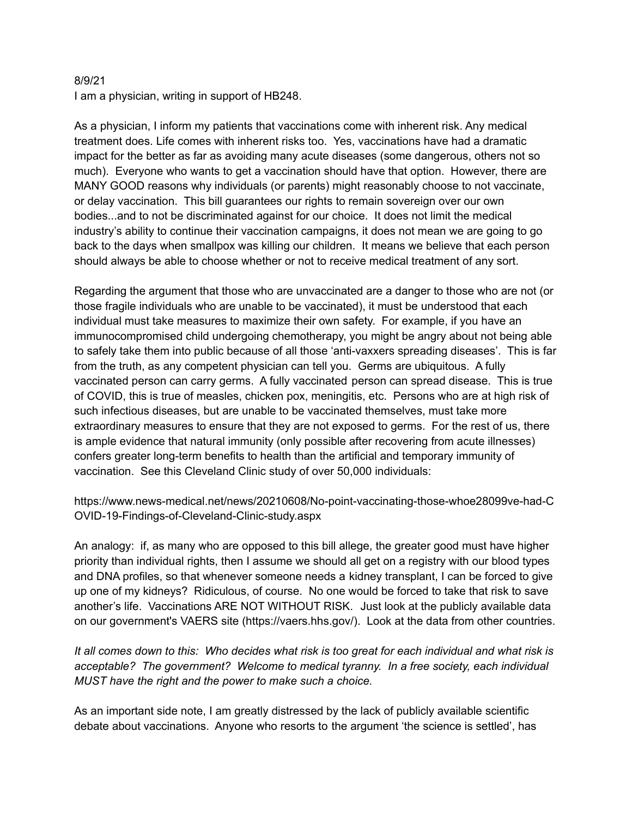## 8/9/21

I am a physician, writing in support of HB248.

As a physician, I inform my patients that vaccinations come with inherent risk. Any medical treatment does. Life comes with inherent risks too. Yes, vaccinations have had a dramatic impact for the better as far as avoiding many acute diseases (some dangerous, others not so much). Everyone who wants to get a vaccination should have that option. However, there are MANY GOOD reasons why individuals (or parents) might reasonably choose to not vaccinate, or delay vaccination. This bill guarantees our rights to remain sovereign over our own bodies...and to not be discriminated against for our choice. It does not limit the medical industry's ability to continue their vaccination campaigns, it does not mean we are going to go back to the days when smallpox was killing our children. It means we believe that each person should always be able to choose whether or not to receive medical treatment of any sort.

Regarding the argument that those who are unvaccinated are a danger to those who are not (or those fragile individuals who are unable to be vaccinated), it must be understood that each individual must take measures to maximize their own safety. For example, if you have an immunocompromised child undergoing chemotherapy, you might be angry about not being able to safely take them into public because of all those 'anti-vaxxers spreading diseases'. This is far from the truth, as any competent physician can tell you. Germs are ubiquitous. A fully vaccinated person can carry germs. A fully vaccinated person can spread disease. This is true of COVID, this is true of measles, chicken pox, meningitis, etc. Persons who are at high risk of such infectious diseases, but are unable to be vaccinated themselves, must take more extraordinary measures to ensure that they are not exposed to germs. For the rest of us, there is ample evidence that natural immunity (only possible after recovering from acute illnesses) confers greater long-term benefits to health than the artificial and temporary immunity of vaccination. See this Cleveland Clinic study of over 50,000 individuals:

https://www.news-medical.net/news/20210608/No-point-vaccinating-those-whoe28099ve-had-C OVID-19-Findings-of-Cleveland-Clinic-study.aspx

An analogy: if, as many who are opposed to this bill allege, the greater good must have higher priority than individual rights, then I assume we should all get on a registry with our blood types and DNA profiles, so that whenever someone needs a kidney transplant, I can be forced to give up one of my kidneys? Ridiculous, of course. No one would be forced to take that risk to save another's life. Vaccinations ARE NOT WITHOUT RISK. Just look at the publicly available data on our government's VAERS site (https://vaers.hhs.gov/). Look at the data from other countries.

It all comes down to this: Who decides what risk is too great for each individual and what risk is *acceptable? The government? Welcome to medical tyranny. In a free society, each individual MUST have the right and the power to make such a choice.*

As an important side note, I am greatly distressed by the lack of publicly available scientific debate about vaccinations. Anyone who resorts to the argument 'the science is settled', has